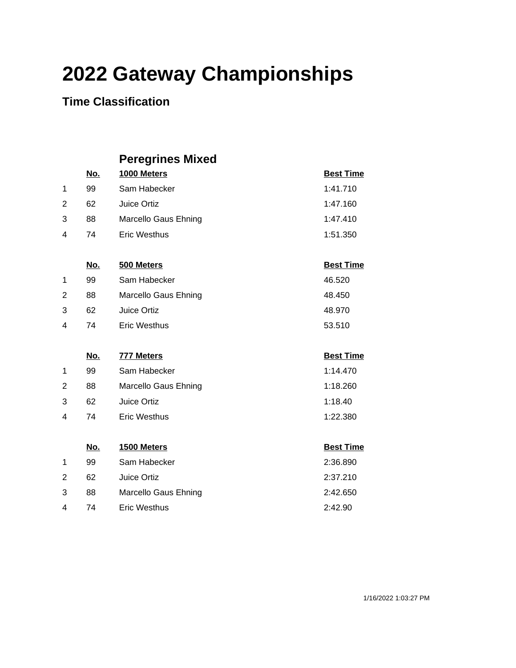### **Time Classification**

|                |            | <b>Peregrines Mixed</b> |                  |
|----------------|------------|-------------------------|------------------|
|                | <u>No.</u> | 1000 Meters             | <b>Best Time</b> |
| 1              | 99         | Sam Habecker            | 1:41.710         |
| $\overline{2}$ | 62         | Juice Ortiz             | 1:47.160         |
| 3              | 88         | Marcello Gaus Ehning    | 1:47.410         |
| 4              | 74         | <b>Eric Westhus</b>     | 1:51.350         |
|                | <u>No.</u> | 500 Meters              | <b>Best Time</b> |
| 1              | 99         | Sam Habecker            | 46.520           |
| 2              | 88         | Marcello Gaus Ehning    | 48.450           |
| 3              | 62         | Juice Ortiz             | 48.970           |
| 4              | 74         | <b>Eric Westhus</b>     | 53.510           |
|                | <u>No.</u> | 777 Meters              | <b>Best Time</b> |
| 1              | 99         | Sam Habecker            | 1:14.470         |
| 2              | 88         | Marcello Gaus Ehning    | 1:18.260         |
| 3              | 62         | Juice Ortiz             | 1:18.40          |
| 4              | 74         | <b>Eric Westhus</b>     | 1:22.380         |
|                |            |                         |                  |
|                | <u>No.</u> | 1500 Meters             | <b>Best Time</b> |
| 1              | 99         | Sam Habecker            | 2:36.890         |
| 2              | 62         | Juice Ortiz             | 2:37.210         |
| 3              | 88         | Marcello Gaus Ehning    | 2:42.650         |
| 4              | 74         | <b>Eric Westhus</b>     | 2:42.90          |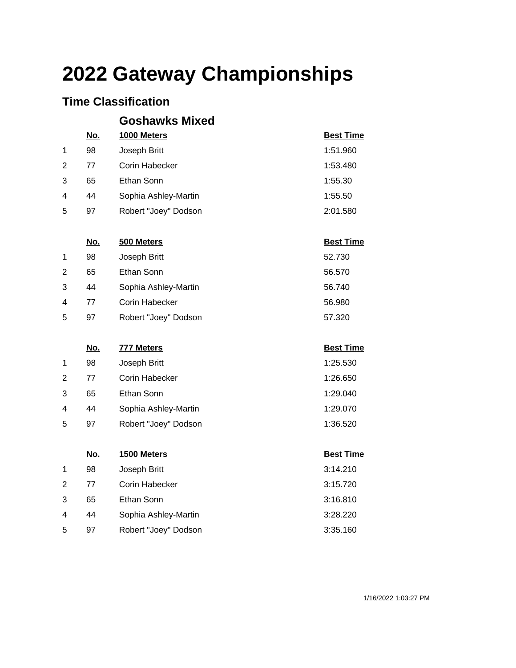### **Time Classification**

|                |                  | <b>Goshawks Mixed</b>      |                            |
|----------------|------------------|----------------------------|----------------------------|
|                | <u>No.</u>       | 1000 Meters                | <b>Best Time</b>           |
| 1              | 98               | Joseph Britt               | 1:51.960                   |
| $\overline{2}$ | 77               | Corin Habecker             | 1:53.480                   |
| 3              | 65               | Ethan Sonn                 | 1:55.30                    |
| 4              | 44               | Sophia Ashley-Martin       | 1:55.50                    |
| 5              | 97               | Robert "Joey" Dodson       | 2:01.580                   |
|                |                  |                            |                            |
|                | <u>No.</u><br>98 | 500 Meters                 | <b>Best Time</b><br>52.730 |
| $\mathbf 1$    | 65               | Joseph Britt<br>Ethan Sonn |                            |
| $\overline{2}$ |                  |                            | 56.570                     |
| 3              | 44               | Sophia Ashley-Martin       | 56.740                     |
| 4              | 77               | Corin Habecker             | 56.980                     |
| 5              | 97               | Robert "Joey" Dodson       | 57.320                     |
|                | <u>No.</u>       | <b>777 Meters</b>          | <b>Best Time</b>           |
| 1              | 98               | Joseph Britt               | 1:25.530                   |
| $\overline{2}$ | 77               | Corin Habecker             | 1:26.650                   |
| 3              | 65               | Ethan Sonn                 | 1:29.040                   |
| 4              | 44               | Sophia Ashley-Martin       | 1:29.070                   |
| 5              | 97               | Robert "Joey" Dodson       | 1:36.520                   |
|                | <u>No.</u>       | 1500 Meters                | <b>Best Time</b>           |
| 1              | 98               | Joseph Britt               | 3:14.210                   |
| 2              | 77               | Corin Habecker             | 3:15.720                   |
| 3              | 65               | Ethan Sonn                 | 3:16.810                   |
| 4              | 44               | Sophia Ashley-Martin       | 3:28.220                   |
| 5              | 97               | Robert "Joey" Dodson       | 3:35.160                   |
|                |                  |                            |                            |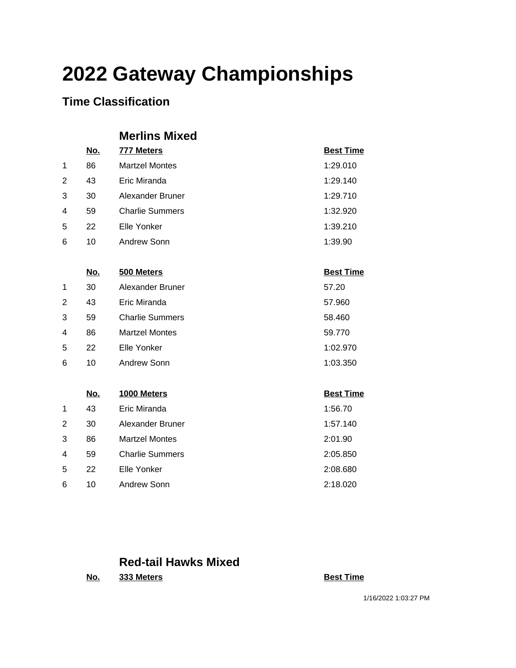### **Time Classification**

#### **Merlins Mixed**

|   | <u>No.</u> | 777 Meters             | <b>Best Time</b> |
|---|------------|------------------------|------------------|
| 1 | 86         | <b>Martzel Montes</b>  | 1:29.010         |
| 2 | 43         | Eric Miranda           | 1:29.140         |
| 3 | 30         | Alexander Bruner       | 1:29.710         |
| 4 | 59         | <b>Charlie Summers</b> | 1:32.920         |
| 5 | 22         | Elle Yonker            | 1:39.210         |
| 6 | 10         | Andrew Sonn            | 1:39.90          |
|   |            |                        |                  |
|   | <u>No.</u> | 500 Meters             | <b>Best Time</b> |
| 1 | 30         | Alexander Bruner       | 57.20            |
| 2 | 43         | Eric Miranda           | 57.960           |
| 3 | 59         | <b>Charlie Summers</b> | 58.460           |
| 4 | 86         | <b>Martzel Montes</b>  | 59.770           |
| 5 | 22         | <b>Elle Yonker</b>     | 1:02.970         |
| 6 | 10         | Andrew Sonn            | 1:03.350         |
|   |            |                        |                  |
|   | <u>No.</u> | 1000 Meters            | <b>Best Time</b> |
| 1 | 43         | Eric Miranda           | 1:56.70          |
| 2 | 30         | Alexander Bruner       | 1:57.140         |
| 3 | 86         | <b>Martzel Montes</b>  | 2:01.90          |
| 4 | 59         | <b>Charlie Summers</b> | 2:05.850         |
| 5 | 22         | Elle Yonker            | 2:08.680         |
| 6 | 10         | <b>Andrew Sonn</b>     | 2:18.020         |

#### **Red-tail Hawks Mixed**

**No. 333 Meters Best Time**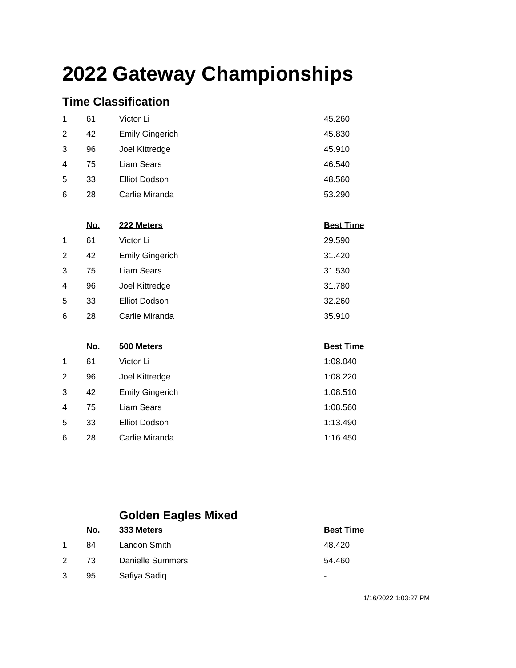### **Time Classification**

| 1              | 61 | Victor Li              | 45.260 |
|----------------|----|------------------------|--------|
| 2              | 42 | <b>Emily Gingerich</b> | 45.830 |
| 3              | 96 | Joel Kittredge         | 45.910 |
| $\overline{4}$ | 75 | Liam Sears             | 46.540 |
| 5              | 33 | <b>Elliot Dodson</b>   | 48.560 |
| 6              | 28 | Carlie Miranda         | 53.290 |

|   | <u>No.</u> | 222 Meters             | <b>Best Time</b> |
|---|------------|------------------------|------------------|
| 1 | 61         | Victor Li              | 29.590           |
| 2 | 42         | <b>Emily Gingerich</b> | 31.420           |
| 3 | 75         | Liam Sears             | 31.530           |
| 4 | 96         | Joel Kittredge         | 31.780           |
| 5 | 33         | <b>Elliot Dodson</b>   | 32.260           |
| 6 | 28         | Carlie Miranda         | 35.910           |

|                | <u>No.</u> | 500 Meters             | <b>Best Time</b> |
|----------------|------------|------------------------|------------------|
| $\mathbf 1$    | 61         | Victor Li              | 1:08.040         |
| 2              | 96         | Joel Kittredge         | 1:08.220         |
| 3              | 42         | <b>Emily Gingerich</b> | 1:08.510         |
| $\overline{4}$ | 75         | Liam Sears             | 1:08.560         |
| 5              | 33         | <b>Elliot Dodson</b>   | 1:13.490         |
| 6              | 28         | Carlie Miranda         | 1:16.450         |

### **Golden Eagles Mixed**

|   | No. | 333 Meters              | <b>Best Time</b> |
|---|-----|-------------------------|------------------|
|   | 84  | Landon Smith            | 48.420           |
| 2 | -73 | <b>Danielle Summers</b> | 54.460           |
| 3 | 95  | Safiya Sadiq            | ۰                |

1/16/2022 1:03:27 PM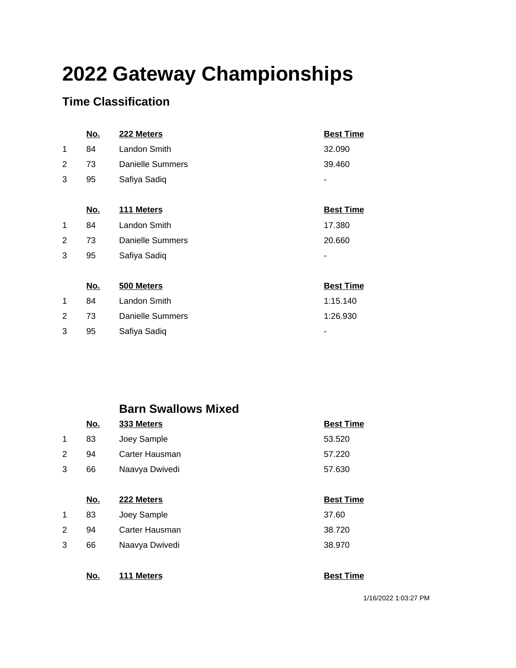### **Time Classification**

|   | <u>No.</u> | 222 Meters              | <b>Best Time</b> |
|---|------------|-------------------------|------------------|
| 1 | 84         | Landon Smith            | 32.090           |
| 2 | 73         | Danielle Summers        | 39.460           |
| 3 | 95         | Safiya Sadiq            |                  |
|   |            |                         |                  |
|   | <u>No.</u> | 111 Meters              | <b>Best Time</b> |
| 1 | 84         | Landon Smith            | 17.380           |
| 2 | 73         | <b>Danielle Summers</b> | 20.660           |
| 3 | 95         | Safiya Sadiq            |                  |
|   |            |                         |                  |
|   | <u>No.</u> | 500 Meters              | <b>Best Time</b> |
| 1 | 84         | Landon Smith            | 1:15.140         |
| 2 | 73         | Danielle Summers        | 1:26.930         |
| 3 | 95         | Safiya Sadiq            |                  |

#### **Barn Swallows Mixed**

|             | <u>No.</u> | 333 Meters     | <b>Best Time</b> |
|-------------|------------|----------------|------------------|
| $\mathbf 1$ | 83         | Joey Sample    | 53.520           |
| 2           | 94         | Carter Hausman | 57.220           |
| 3           | 66         | Naavya Dwivedi | 57.630           |
|             |            |                |                  |
|             | No.        | 222 Meters     | <b>Best Time</b> |
| 1           | 83         | Joey Sample    | 37.60            |
| 2           | 94         | Carter Hausman | 38.720           |
|             |            |                |                  |

3 66 Naavya Dwivedi 38.970

**No. 111 Meters Best Time** 

1/16/2022 1:03:27 PM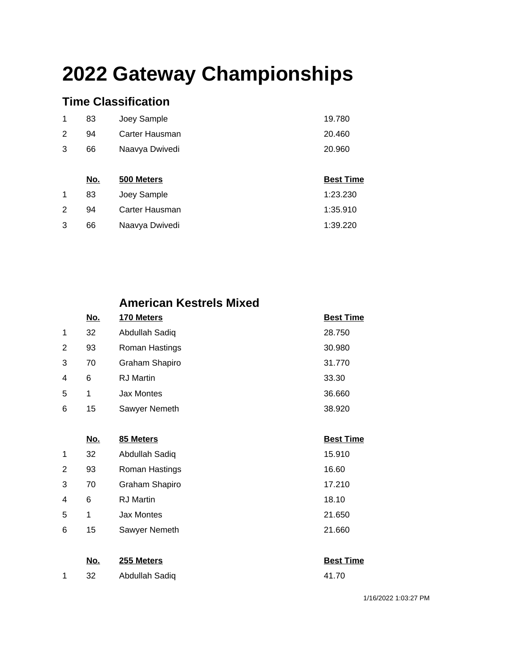### **Time Classification**

| 20.960 |
|--------|
| 20.460 |
| 19.780 |
|        |

|   | IVV. | <b>JUU IVIELEI S</b> | <b>DESL TITLE</b> |
|---|------|----------------------|-------------------|
|   | 83   | Joey Sample          | 1:23.230          |
|   | 94   | Carter Hausman       | 1:35.910          |
| 3 | 66   | Naavya Dwivedi       | 1:39.220          |

#### **American Kestrels Mixed**

| No. | 170 Meters        | <b>Best Time</b> |
|-----|-------------------|------------------|
| 32  | Abdullah Sadiq    | 28.750           |
| 93  | Roman Hastings    | 30.980           |
| 70  | Graham Shapiro    | 31.770           |
| 6   | <b>RJ</b> Martin  | 33.30            |
| 1   | <b>Jax Montes</b> | 36.660           |
| 15  | Sawyer Nemeth     | 38.920           |
|     |                   |                  |

|   | No. | 85 Meters             | <b>Best Time</b> |
|---|-----|-----------------------|------------------|
| 1 | 32  | Abdullah Sadiq        | 15.910           |
| 2 | 93  | Roman Hastings        | 16.60            |
| 3 | 70  | <b>Graham Shapiro</b> | 17.210           |
| 4 | 6   | <b>RJ</b> Martin      | 18.10            |
| 5 | 1   | Jax Montes            | 21.650           |
| 6 | 15  | Sawyer Nemeth         | 21.660           |

| No.  | 255 Meters     | <b>Best Time</b> |
|------|----------------|------------------|
| - 32 | Abdullah Sadiq | 41.70            |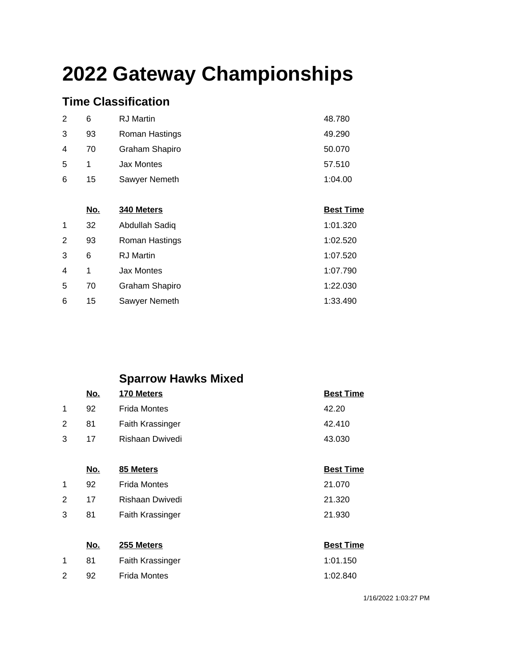### **Time Classification**

2 92

| 2 | 6  | <b>RJ</b> Martin | 48.780  |
|---|----|------------------|---------|
| 3 | 93 | Roman Hastings   | 49.290  |
| 4 | 70 | Graham Shapiro   | 50.070  |
| 5 | 1  | Jax Montes       | 57.510  |
| 6 | 15 | Sawyer Nemeth    | 1:04.00 |

|   | <u>No.</u> | 340 Meters        | <b>Best Time</b> |
|---|------------|-------------------|------------------|
| 1 | 32         | Abdullah Sadiq    | 1:01.320         |
| 2 | 93         | Roman Hastings    | 1:02.520         |
| 3 | 6          | <b>RJ</b> Martin  | 1:07.520         |
| 4 | 1          | <b>Jax Montes</b> | 1:07.790         |
| 5 | 70         | Graham Shapiro    | 1:22.030         |
| 6 | 15         | Sawyer Nemeth     | 1:33.490         |

### **Sparrow Hawks Mixed**

|   | No.        | 170 Meters              | <b>Best Time</b> |
|---|------------|-------------------------|------------------|
| 1 | 92         | <b>Frida Montes</b>     | 42.20            |
| 2 | 81         | <b>Faith Krassinger</b> | 42.410           |
| 3 | 17         | Rishaan Dwivedi         | 43.030           |
|   |            |                         |                  |
|   | <u>No.</u> | 85 Meters               | <b>Best Time</b> |
| 1 | 92         | <b>Frida Montes</b>     | 21.070           |
| 2 | 17         | Rishaan Dwivedi         | 21.320           |
| 3 | 81         | <b>Faith Krassinger</b> | 21.930           |
|   |            |                         |                  |
|   | <u>No.</u> | 255 Meters              | <b>Best Time</b> |
| 1 | 81         | <b>Faith Krassinger</b> | 1:01.150         |

| ι αιτι ινιαδοιηγει | 1. U I . I JU |
|--------------------|---------------|
| Frida Montes       | 1:02.840      |

1/16/2022 1:03:27 PM